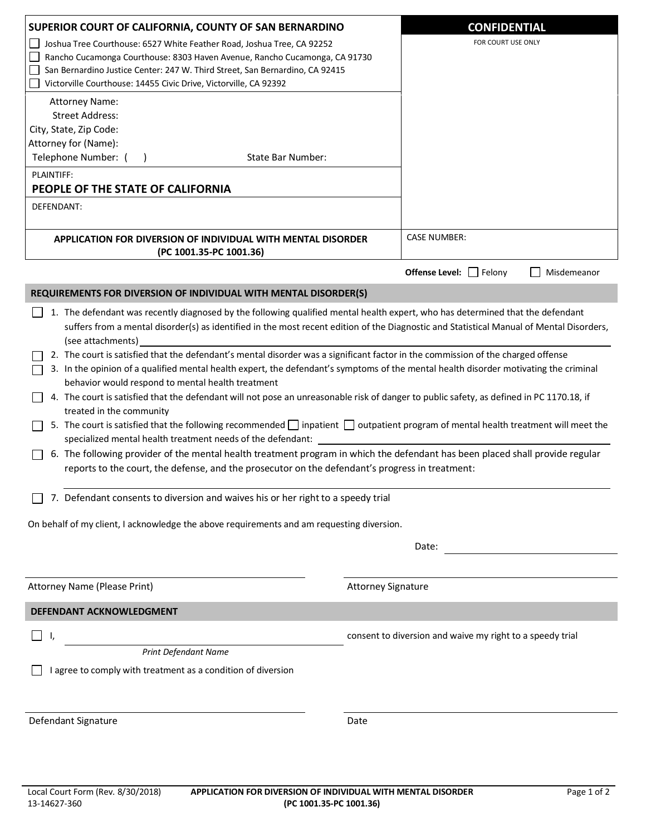| SUPERIOR COURT OF CALIFORNIA, COUNTY OF SAN BERNARDINO                                                                                                                                                                                                                                                                                                                                                                                                                                                                                                                                                                                                                                                                                                                                                                                                                                                                                                                                                                                                                                                                                                                                                                                                                                                                                                                                                                                      | <b>CONFIDENTIAL</b>                                       |
|---------------------------------------------------------------------------------------------------------------------------------------------------------------------------------------------------------------------------------------------------------------------------------------------------------------------------------------------------------------------------------------------------------------------------------------------------------------------------------------------------------------------------------------------------------------------------------------------------------------------------------------------------------------------------------------------------------------------------------------------------------------------------------------------------------------------------------------------------------------------------------------------------------------------------------------------------------------------------------------------------------------------------------------------------------------------------------------------------------------------------------------------------------------------------------------------------------------------------------------------------------------------------------------------------------------------------------------------------------------------------------------------------------------------------------------------|-----------------------------------------------------------|
| Joshua Tree Courthouse: 6527 White Feather Road, Joshua Tree, CA 92252<br>Rancho Cucamonga Courthouse: 8303 Haven Avenue, Rancho Cucamonga, CA 91730<br>San Bernardino Justice Center: 247 W. Third Street, San Bernardino, CA 92415<br>Victorville Courthouse: 14455 Civic Drive, Victorville, CA 92392                                                                                                                                                                                                                                                                                                                                                                                                                                                                                                                                                                                                                                                                                                                                                                                                                                                                                                                                                                                                                                                                                                                                    | FOR COURT USE ONLY                                        |
| <b>Attorney Name:</b><br><b>Street Address:</b><br>City, State, Zip Code:<br>Attorney for (Name):                                                                                                                                                                                                                                                                                                                                                                                                                                                                                                                                                                                                                                                                                                                                                                                                                                                                                                                                                                                                                                                                                                                                                                                                                                                                                                                                           |                                                           |
| Telephone Number: (<br>State Bar Number:                                                                                                                                                                                                                                                                                                                                                                                                                                                                                                                                                                                                                                                                                                                                                                                                                                                                                                                                                                                                                                                                                                                                                                                                                                                                                                                                                                                                    |                                                           |
| PLAINTIFF:<br>PEOPLE OF THE STATE OF CALIFORNIA                                                                                                                                                                                                                                                                                                                                                                                                                                                                                                                                                                                                                                                                                                                                                                                                                                                                                                                                                                                                                                                                                                                                                                                                                                                                                                                                                                                             |                                                           |
| DEFENDANT:                                                                                                                                                                                                                                                                                                                                                                                                                                                                                                                                                                                                                                                                                                                                                                                                                                                                                                                                                                                                                                                                                                                                                                                                                                                                                                                                                                                                                                  |                                                           |
| APPLICATION FOR DIVERSION OF INDIVIDUAL WITH MENTAL DISORDER<br>(PC 1001.35-PC 1001.36)                                                                                                                                                                                                                                                                                                                                                                                                                                                                                                                                                                                                                                                                                                                                                                                                                                                                                                                                                                                                                                                                                                                                                                                                                                                                                                                                                     | <b>CASE NUMBER:</b>                                       |
|                                                                                                                                                                                                                                                                                                                                                                                                                                                                                                                                                                                                                                                                                                                                                                                                                                                                                                                                                                                                                                                                                                                                                                                                                                                                                                                                                                                                                                             | <b>Offense Level:</b>   Felony<br>Misdemeanor<br><b>I</b> |
| REQUIREMENTS FOR DIVERSION OF INDIVIDUAL WITH MENTAL DISORDER(S)                                                                                                                                                                                                                                                                                                                                                                                                                                                                                                                                                                                                                                                                                                                                                                                                                                                                                                                                                                                                                                                                                                                                                                                                                                                                                                                                                                            |                                                           |
| 1. The defendant was recently diagnosed by the following qualified mental health expert, who has determined that the defendant<br>suffers from a mental disorder(s) as identified in the most recent edition of the Diagnostic and Statistical Manual of Mental Disorders,<br>(see attachments)<br>2. The court is satisfied that the defendant's mental disorder was a significant factor in the commission of the charged offense<br>3. In the opinion of a qualified mental health expert, the defendant's symptoms of the mental health disorder motivating the criminal<br>behavior would respond to mental health treatment<br>4. The court is satisfied that the defendant will not pose an unreasonable risk of danger to public safety, as defined in PC 1170.18, if<br>treated in the community<br>5. The court is satisfied that the following recommended inpatient in outpatient program of mental health treatment will meet the<br>specialized mental health treatment needs of the defendant:<br>6. The following provider of the mental health treatment program in which the defendant has been placed shall provide regular<br>reports to the court, the defense, and the prosecutor on the defendant's progress in treatment:<br>7. Defendant consents to diversion and waives his or her right to a speedy trial<br>On behalf of my client, I acknowledge the above requirements and am requesting diversion.<br>Date: |                                                           |
| Attorney Name (Please Print)                                                                                                                                                                                                                                                                                                                                                                                                                                                                                                                                                                                                                                                                                                                                                                                                                                                                                                                                                                                                                                                                                                                                                                                                                                                                                                                                                                                                                | <b>Attorney Signature</b>                                 |
| DEFENDANT ACKNOWLEDGMENT                                                                                                                                                                                                                                                                                                                                                                                                                                                                                                                                                                                                                                                                                                                                                                                                                                                                                                                                                                                                                                                                                                                                                                                                                                                                                                                                                                                                                    |                                                           |
|                                                                                                                                                                                                                                                                                                                                                                                                                                                                                                                                                                                                                                                                                                                                                                                                                                                                                                                                                                                                                                                                                                                                                                                                                                                                                                                                                                                                                                             |                                                           |
| $\mathsf{L}$<br>Ι,<br>Print Defendant Name<br>I agree to comply with treatment as a condition of diversion                                                                                                                                                                                                                                                                                                                                                                                                                                                                                                                                                                                                                                                                                                                                                                                                                                                                                                                                                                                                                                                                                                                                                                                                                                                                                                                                  | consent to diversion and waive my right to a speedy trial |
| Defendant Signature                                                                                                                                                                                                                                                                                                                                                                                                                                                                                                                                                                                                                                                                                                                                                                                                                                                                                                                                                                                                                                                                                                                                                                                                                                                                                                                                                                                                                         | Date                                                      |